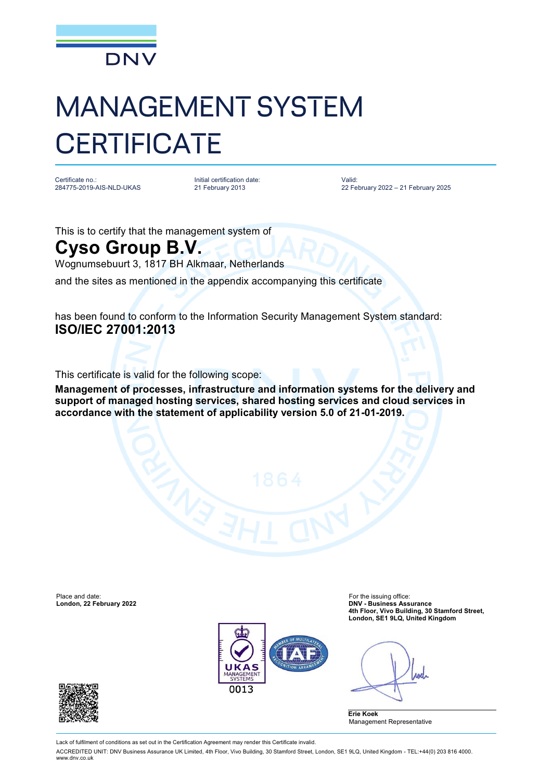

## MANAGEMENT SYSTEM **CERTIFICATE**

Certificate no.: 284775-2019-AIS-NLD-UKAS

Initial certification date: 21 February 2013

Valid: 22 February 2022 – 21 February 2025

This is to certify that the management system of

## **Cyso Group B.V.**

Wognumsebuurt 3, 1817 BH Alkmaar, Netherlands

and the sites as mentioned in the appendix accompanying this certificate

has been found to conform to the Information Security Management System standard: **ISO/IEC 27001:2013**

This certificate is valid for the following scope:

**Management of processes, infrastructure and information systems for the delivery and support of managed hosting services, shared hosting services and cloud services in accordance with the statement of applicability version 5.0 of 21-01-2019.**



Place and date: For the issuing office: **London, 22 February 2022 DNV - Business Assurance 4th Floor, Vivo Building, 30 Stamford Street, London, SE1 9LQ, United Kingdom**

Anel

**Erie Koek** Management Representative



Lack of fulfilment of conditions as set out in the Certification Agreement may render this Certificate invalid.

ACCREDITED UNIT: DNV Business Assurance UK Limited, 4th Floor, Vivo Building, 30 Stamford Street, London, SE1 9LQ, United Kingdom - TEL:+44(0) 203 816 4000. [www.dnv.co.uk](http://www.dnv.co.uk)